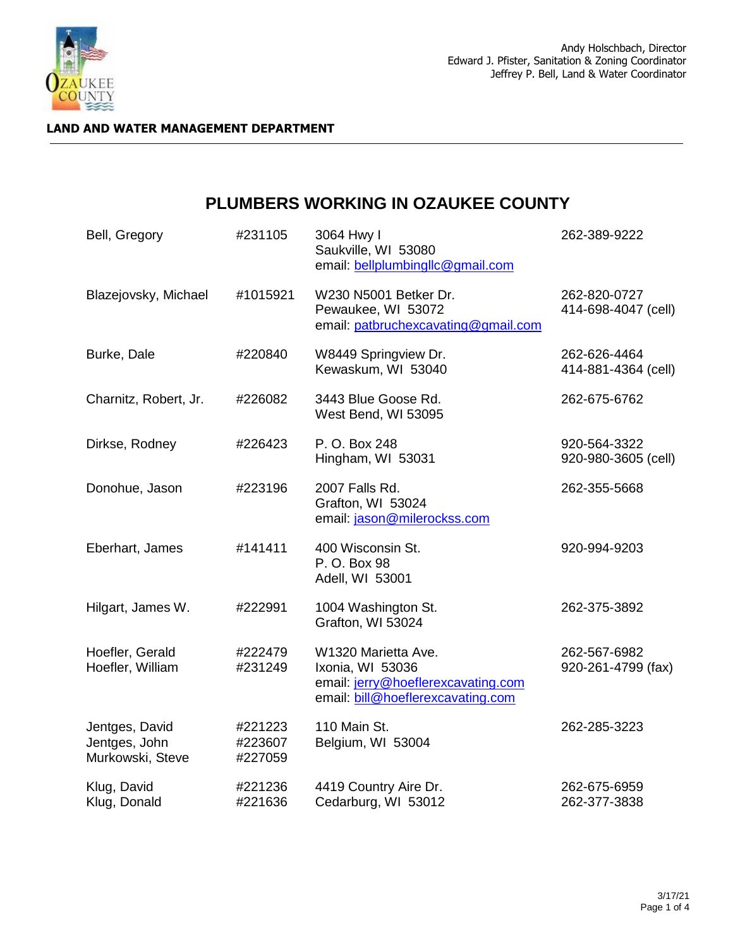

#### **LAND AND WATER MANAGEMENT DEPARTMENT**

# **PLUMBERS WORKING IN OZAUKEE COUNTY**

| Bell, Gregory                                       | #231105                       | 3064 Hwy I<br>Saukville, WI 53080<br>email: bellplumbingllc@gmail.com                                              | 262-389-9222                        |
|-----------------------------------------------------|-------------------------------|--------------------------------------------------------------------------------------------------------------------|-------------------------------------|
| Blazejovsky, Michael                                | #1015921                      | W230 N5001 Betker Dr.<br>Pewaukee, WI 53072<br>email: patbruchexcavating@gmail.com                                 | 262-820-0727<br>414-698-4047 (cell) |
| Burke, Dale                                         | #220840                       | W8449 Springview Dr.<br>Kewaskum, WI 53040                                                                         | 262-626-4464<br>414-881-4364 (cell) |
| Charnitz, Robert, Jr.                               | #226082                       | 3443 Blue Goose Rd.<br>West Bend, WI 53095                                                                         | 262-675-6762                        |
| Dirkse, Rodney                                      | #226423                       | P. O. Box 248<br>Hingham, WI 53031                                                                                 | 920-564-3322<br>920-980-3605 (cell) |
| Donohue, Jason                                      | #223196                       | 2007 Falls Rd.<br>Grafton, WI 53024<br>email: jason@milerockss.com                                                 | 262-355-5668                        |
| Eberhart, James                                     | #141411                       | 400 Wisconsin St.<br>P. O. Box 98<br>Adell, WI 53001                                                               | 920-994-9203                        |
| Hilgart, James W.                                   | #222991                       | 1004 Washington St.<br>Grafton, WI 53024                                                                           | 262-375-3892                        |
| Hoefler, Gerald<br>Hoefler, William                 | #222479<br>#231249            | W1320 Marietta Ave.<br>Ixonia, WI 53036<br>email: jerry@hoeflerexcavating.com<br>email: bill@hoeflerexcavating.com | 262-567-6982<br>920-261-4799 (fax)  |
| Jentges, David<br>Jentges, John<br>Murkowski, Steve | #221223<br>#223607<br>#227059 | 110 Main St.<br>Belgium, WI 53004                                                                                  | 262-285-3223                        |
| Klug, David<br>Klug, Donald                         | #221236<br>#221636            | 4419 Country Aire Dr.<br>Cedarburg, WI 53012                                                                       | 262-675-6959<br>262-377-3838        |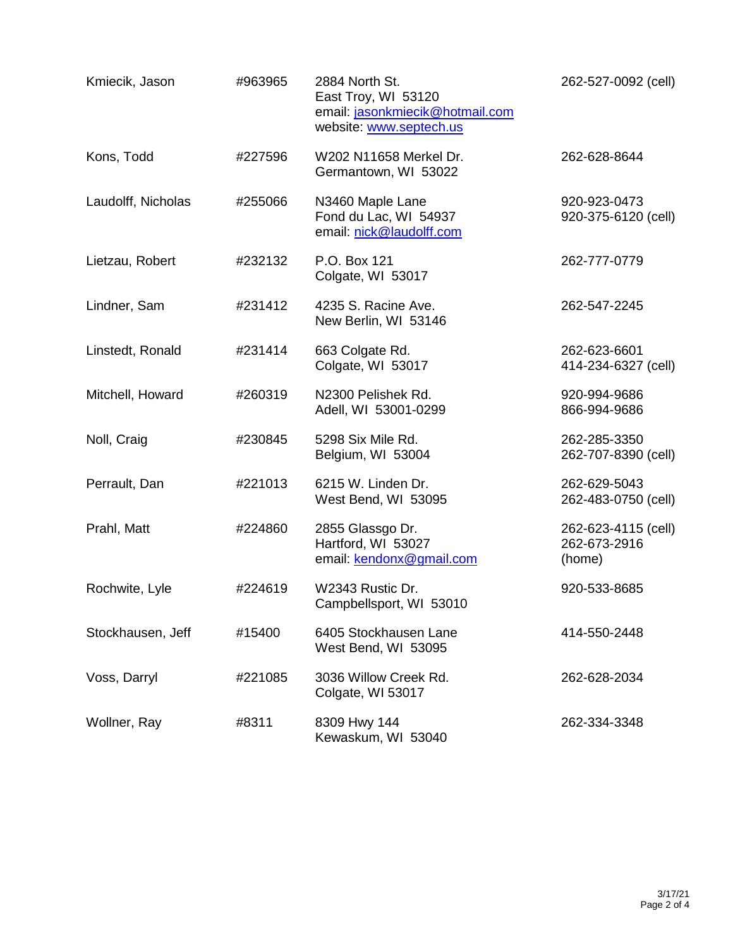| Kmiecik, Jason     | #963965 | 2884 North St.<br>East Troy, WI 53120<br>email: jasonkmiecik@hotmail.com<br>website: www.septech.us | 262-527-0092 (cell)                           |
|--------------------|---------|-----------------------------------------------------------------------------------------------------|-----------------------------------------------|
| Kons, Todd         | #227596 | W202 N11658 Merkel Dr.<br>Germantown, WI 53022                                                      | 262-628-8644                                  |
| Laudolff, Nicholas | #255066 | N3460 Maple Lane<br>Fond du Lac, WI 54937<br>email: nick@laudolff.com                               | 920-923-0473<br>920-375-6120 (cell)           |
| Lietzau, Robert    | #232132 | P.O. Box 121<br>Colgate, WI 53017                                                                   | 262-777-0779                                  |
| Lindner, Sam       | #231412 | 4235 S. Racine Ave.<br>New Berlin, WI 53146                                                         | 262-547-2245                                  |
| Linstedt, Ronald   | #231414 | 663 Colgate Rd.<br>Colgate, WI 53017                                                                | 262-623-6601<br>414-234-6327 (cell)           |
| Mitchell, Howard   | #260319 | N2300 Pelishek Rd.<br>Adell, WI 53001-0299                                                          | 920-994-9686<br>866-994-9686                  |
| Noll, Craig        | #230845 | 5298 Six Mile Rd.<br>Belgium, WI 53004                                                              | 262-285-3350<br>262-707-8390 (cell)           |
| Perrault, Dan      | #221013 | 6215 W. Linden Dr.<br>West Bend, WI 53095                                                           | 262-629-5043<br>262-483-0750 (cell)           |
| Prahl, Matt        | #224860 | 2855 Glassgo Dr.<br>Hartford, WI 53027<br>email: kendonx@gmail.com                                  | 262-623-4115 (cell)<br>262-673-2916<br>(home) |
| Rochwite, Lyle     | #224619 | W2343 Rustic Dr.<br>Campbellsport, WI 53010                                                         | 920-533-8685                                  |
| Stockhausen, Jeff  | #15400  | 6405 Stockhausen Lane<br>West Bend, WI 53095                                                        | 414-550-2448                                  |
| Voss, Darryl       | #221085 | 3036 Willow Creek Rd.<br>Colgate, WI 53017                                                          | 262-628-2034                                  |
| Wollner, Ray       | #8311   | 8309 Hwy 144<br>Kewaskum, WI 53040                                                                  | 262-334-3348                                  |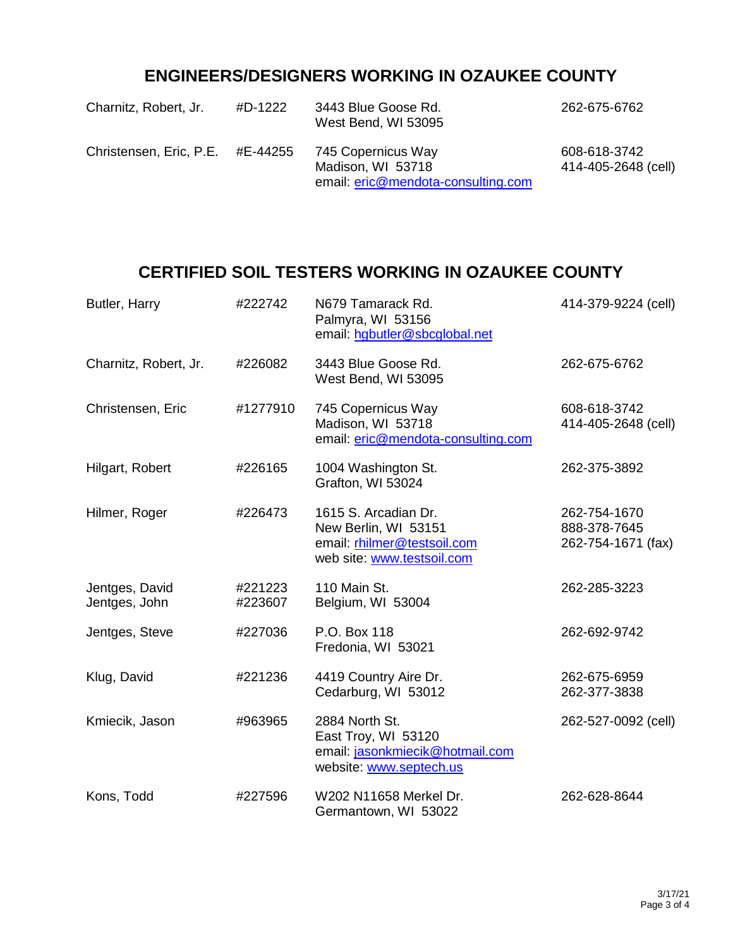# **ENGINEERS/DESIGNERS WORKING IN OZAUKEE COUNTY**

| Charnitz, Robert, Jr.            | #D-1222 | 3443 Blue Goose Rd.<br>West Bend, WI 53095 | 262-675-6762                        |
|----------------------------------|---------|--------------------------------------------|-------------------------------------|
| Christensen, Eric, P.E. #E-44255 |         | 745 Copernicus Way<br>Madison, WI 53718    | 608-618-3742<br>414-405-2648 (cell) |
|                                  |         | email: eric@mendota-consulting.com         |                                     |

### **CERTIFIED SOIL TESTERS WORKING IN OZAUKEE COUNTY**

| Butler, Harry                   | #222742            | N679 Tamarack Rd.<br>Palmyra, WI 53156<br>email: hgbutler@sbcglobal.net                                   | 414-379-9224 (cell)                                |
|---------------------------------|--------------------|-----------------------------------------------------------------------------------------------------------|----------------------------------------------------|
| Charnitz, Robert, Jr.           | #226082            | 3443 Blue Goose Rd.<br>West Bend, WI 53095                                                                | 262-675-6762                                       |
| Christensen, Eric               | #1277910           | 745 Copernicus Way<br>Madison, WI 53718<br>email: eric@mendota-consulting.com                             | 608-618-3742<br>414-405-2648 (cell)                |
| Hilgart, Robert                 | #226165            | 1004 Washington St.<br>Grafton, WI 53024                                                                  | 262-375-3892                                       |
| Hilmer, Roger                   | #226473            | 1615 S. Arcadian Dr.<br>New Berlin, WI 53151<br>email: rhilmer@testsoil.com<br>web site: www.testsoil.com | 262-754-1670<br>888-378-7645<br>262-754-1671 (fax) |
| Jentges, David<br>Jentges, John | #221223<br>#223607 | 110 Main St.<br>Belgium, WI 53004                                                                         | 262-285-3223                                       |
| Jentges, Steve                  | #227036            | P.O. Box 118<br>Fredonia, WI 53021                                                                        | 262-692-9742                                       |
| Klug, David                     | #221236            | 4419 Country Aire Dr.<br>Cedarburg, WI 53012                                                              | 262-675-6959<br>262-377-3838                       |
| Kmiecik, Jason                  | #963965            | 2884 North St.<br>East Troy, WI 53120<br>email: jasonkmiecik@hotmail.com<br>website: www.septech.us       | 262-527-0092 (cell)                                |
| Kons, Todd                      | #227596            | W202 N11658 Merkel Dr.<br>Germantown, WI 53022                                                            | 262-628-8644                                       |